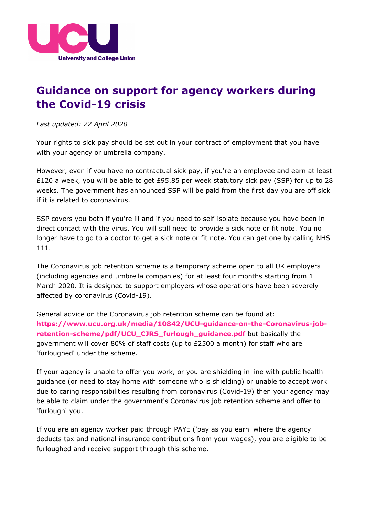

## **Guidance on support for agency workers during the Covid-19 crisis**

*Last updated: 22 April 2020*

Your rights to sick pay should be set out in your contract of employment that you have with your agency or umbrella company.

However, even if you have no contractual sick pay, if you're an employee and earn at least £120 a week, you will be able to get £95.85 per week statutory sick pay (SSP) for up to 28 weeks. The government has announced SSP will be paid from the first day you are off sick if it is related to coronavirus.

SSP covers you both if you're ill and if you need to self-isolate because you have been in direct contact with the virus. You will still need to provide a sick note or fit note. You no longer have to go to a doctor to get a sick note or fit note. You can get one by calling NHS 111.

The Coronavirus job retention scheme is a temporary scheme open to all UK employers (including agencies and umbrella companies) for at least four months starting from 1 March 2020. It is designed to support employers whose operations have been severely affected by coronavirus (Covid-19).

General advice on the Coronavirus job retention scheme can be found at: **[https://www.ucu.org.uk/media/10842/UCU-guidance-on-the-Coronavirus-job](https://www.ucu.org.uk/media/10842/UCU-guidance-on-the-Coronavirus-job-retention-scheme/pdf/UCU_CJRS_furlough_guidance.pdf)[retention-scheme/pdf/UCU\\_CJRS\\_furlough\\_guidance.pdf](https://www.ucu.org.uk/media/10842/UCU-guidance-on-the-Coronavirus-job-retention-scheme/pdf/UCU_CJRS_furlough_guidance.pdf)** but basically the government will cover 80% of staff costs (up to £2500 a month) for staff who are 'furloughed' under the scheme.

If your agency is unable to offer you work, or you are shielding in line with public health guidance (or need to stay home with someone who is shielding) or unable to accept work due to caring responsibilities resulting from coronavirus (Covid-19) then your agency may be able to claim under the government's Coronavirus job retention scheme and offer to 'furlough' you.

If you are an agency worker paid through PAYE ('pay as you earn' where the agency deducts tax and national insurance contributions from your wages), you are eligible to be furloughed and receive support through this scheme.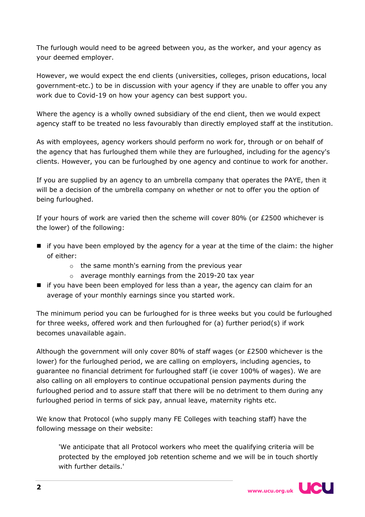The furlough would need to be agreed between you, as the worker, and your agency as your deemed employer.

However, we would expect the end clients (universities, colleges, prison educations, local government-etc.) to be in discussion with your agency if they are unable to offer you any work due to Covid-19 on how your agency can best support you.

Where the agency is a wholly owned subsidiary of the end client, then we would expect agency staff to be treated no less favourably than directly employed staff at the institution.

As with employees, agency workers should perform no work for, through or on behalf of the agency that has furloughed them while they are furloughed, including for the agency's clients. However, you can be furloughed by one agency and continue to work for another.

If you are supplied by an agency to an umbrella company that operates the PAYE, then it will be a decision of the umbrella company on whether or not to offer you the option of being furloughed.

If your hours of work are varied then the scheme will cover 80% (or £2500 whichever is the lower) of the following:

- $\blacksquare$  if you have been employed by the agency for a year at the time of the claim: the higher of either:
	- o the same month's earning from the previous year
	- o average monthly earnings from the 2019-20 tax year
- **I** if you have been been employed for less than a year, the agency can claim for an average of your monthly earnings since you started work.

The minimum period you can be furloughed for is three weeks but you could be furloughed for three weeks, offered work and then furloughed for (a) further period(s) if work becomes unavailable again.

Although the government will only cover 80% of staff wages (or £2500 whichever is the lower) for the furloughed period, we are calling on employers, including agencies, to guarantee no financial detriment for furloughed staff (ie cover 100% of wages). We are also calling on all employers to continue occupational pension payments during the furloughed period and to assure staff that there will be no detriment to them during any furloughed period in terms of sick pay, annual leave, maternity rights etc.

We know that Protocol (who supply many FE Colleges with teaching staff) have the following message on their website:

'We anticipate that all Protocol workers who meet the qualifying criteria will be protected by the employed job retention scheme and we will be in touch shortly with further details.'